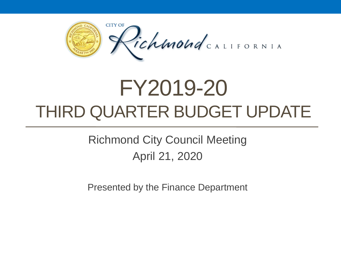

# FY2019-20 THIRD QUARTER BUDGET UPDATE

Richmond City Council Meeting April 21, 2020

Presented by the Finance Department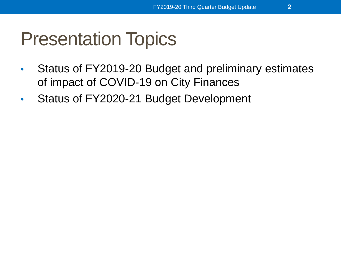#### Presentation Topics

- Status of FY2019-20 Budget and preliminary estimates of impact of COVID-19 on City Finances
- Status of FY2020-21 Budget Development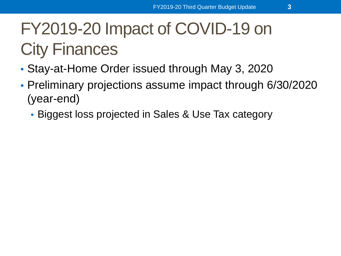- Stay-at-Home Order issued through May 3, 2020
- Preliminary projections assume impact through 6/30/2020 (year-end)
	- Biggest loss projected in Sales & Use Tax category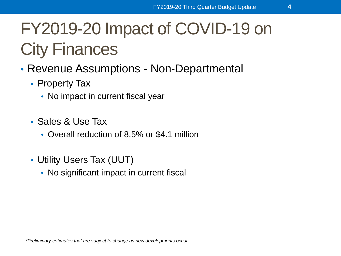- Revenue Assumptions Non-Departmental
	- Property Tax
		- No impact in current fiscal year
	- Sales & Use Tax
		- Overall reduction of 8.5% or \$4.1 million
	- Utility Users Tax (UUT)
		- No significant impact in current fiscal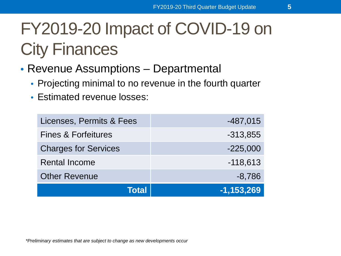- Revenue Assumptions Departmental
	- Projecting minimal to no revenue in the fourth quarter
	- Estimated revenue losses:

| Licenses, Permits & Fees       | $-487,015$   |
|--------------------------------|--------------|
| <b>Fines &amp; Forfeitures</b> | $-313,855$   |
| <b>Charges for Services</b>    | $-225,000$   |
| <b>Rental Income</b>           | $-118,613$   |
| <b>Other Revenue</b>           | $-8,786$     |
| Total                          | $-1,153,269$ |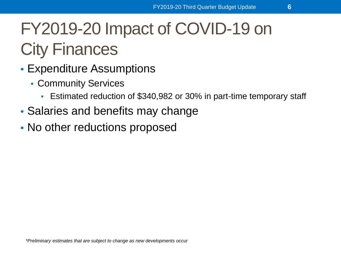- Expenditure Assumptions
	- Community Services
		- Estimated reduction of \$340,982 or 30% in part-time temporary staff
- Salaries and benefits may change
- No other reductions proposed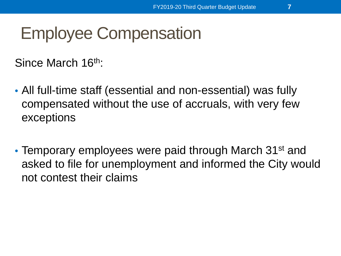#### Employee Compensation

Since March 16<sup>th</sup>:

- All full-time staff (essential and non-essential) was fully compensated without the use of accruals, with very few exceptions
- Temporary employees were paid through March 31<sup>st</sup> and asked to file for unemployment and informed the City would not contest their claims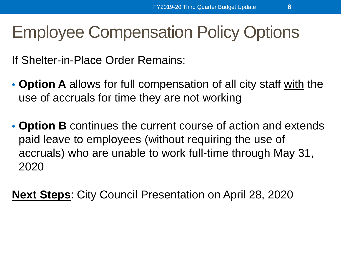#### Employee Compensation Policy Options

If Shelter-in-Place Order Remains:

- **Option A** allows for full compensation of all city staff with the use of accruals for time they are not working
- **Option B** continues the current course of action and extends paid leave to employees (without requiring the use of accruals) who are unable to work full-time through May 31, 2020

**Next Steps**: City Council Presentation on April 28, 2020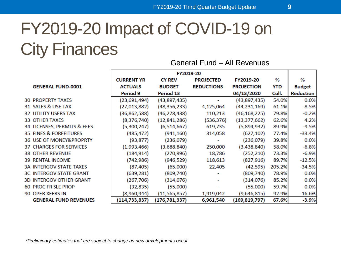#### FY2019-20 Impact of COVID-19 on City Finances General Fund – All Revenues

FY2019-20 **CY REV PROJECTED** FY2019-20  $\%$ **CURRENT YR** % **GENERAL FUND-0001 ACTUALS BUDGET REDUCTIONS PROJECTION YTD Budget** Period 13 04/13/2020 Coll. **Reduction** Period 9 **30 PROPERTY TAXES**  $(43,897,435)$  $(43,897,435)$ 54.0% 0.0%  $(23,691,494)$ ÷. 31 SALES & USE TAX  $(27,013,882)$  $(48, 356, 233)$ 4,125,064  $(44, 231, 169)$ 61.1%  $-8.5%$ 110,213 79.8%  $-0.2%$ **32 UTILITY USERS TAX**  $(36,862,588)$  $(46, 278, 438)$  $(46, 168, 225)$  $(8, 376, 740)$ 62.6% **33 OTHER TAXES**  $(12,841,286)$  $(536, 376)$  $(13, 377, 662)$ 4.2% 89.9%  $-9.5%$ 34 LICENSES, PERMITS & FEES  $(5,300,247)$  $(6,514,667)$ 619,735  $(5,894,932)$ 35 FINES & FORFEITURES  $(485, 472)$  $(941, 160)$  $(627, 102)$ 77.4%  $-33.4%$ 314,058 39.8% 0.0% 36 USE OF MONEY&PROPRTY  $(93, 877)$  $(236,079)$  $(236,079)$  $(1,993,466)$  $(3,688,840)$ 250,000  $(3,438,840)$ 58.0%  $-6.8%$ **37 CHARGES FOR SERVICES**  $(184, 914)$ 73.3%  $(270, 996)$ 18,786  $(252, 210)$ **38 OTHER REVENUE** -6.9% **39 RENTAL INCOME**  $(742, 986)$  $(946, 529)$ 118,613  $(827, 916)$ 89.7%  $-12.5%$  $(87, 405)$  $(65,000)$ 205.2% **3A INTERGOV STATE TAXES** 22,405  $(42, 595)$  $-34.5%$ **3C INTERGOV STATE GRANT**  $(639, 281)$  $(809, 740)$  $(809, 740)$ 78.9% 0.0% ÷.  $(267, 706)$  $(314,076)$ 85.2% 0.0%  $(314,076)$ **3D INTERGOV OTHER GRANT 60 PROC FR SLE PROP**  $(32, 835)$  $(55,000)$  $(55,000)$ 59.7% 0.0% 90 OPER XFERS IN  $(8,960,944)$  $(11, 565, 857)$ 1,919,042  $(9,646,815)$ 92.9%  $-16.6%$ **GENERAL FUND REVENUES**  $(114, 733, 837)$  $(176, 781, 337)$ 6,961,540  $(169, 819, 797)$ 67.6%  $-3.9%$ 

*\*Preliminary estimates that are subject to change as new developments occur*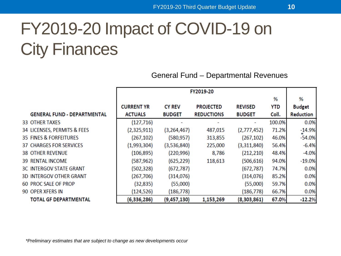#### General Fund – Departmental Revenues

|                                    | FY2019-20         |               |                   |                |            |               |
|------------------------------------|-------------------|---------------|-------------------|----------------|------------|---------------|
|                                    |                   |               |                   |                | %          | %             |
|                                    | <b>CURRENT YR</b> | <b>CY REV</b> | <b>PROJECTED</b>  | <b>REVISED</b> | <b>YTD</b> | <b>Budget</b> |
| <b>GENERAL FUND - DEPARTMENTAL</b> | <b>ACTUALS</b>    | <b>BUDGET</b> | <b>REDUCTIONS</b> | <b>BUDGET</b>  | Coll.      | Reduction     |
| 33 OTHER TAXES                     | (127, 716)        |               |                   |                | 100.0%     | 0.0%          |
| 34 LICENSES, PERMITS & FEES        | (2,325,911)       | (3,264,467)   | 487,015           | (2,777,452)    | 71.2%      | $-14.9%$      |
| 35 FINES & FORFEITURES             | (267, 102)        | (580, 957)    | 313,855           | (267, 102)     | 46.0%      | $-54.0%$      |
| <b>37 CHARGES FOR SERVICES</b>     | (1,993,304)       | (3,536,840)   | 225,000           | (3,311,840)    | 56.4%      | $-6.4%$       |
| <b>38 OTHER REVENUE</b>            | (106, 895)        | (220, 996)    | 8,786             | (212, 210)     | 48.4%      | $-4.0%$       |
| <b>39 RENTAL INCOME</b>            | (587, 962)        | (625, 229)    | 118,613           | (506, 616)     | 94.0%      | $-19.0%$      |
| <b>3C INTERGOV STATE GRANT</b>     | (502, 328)        | (672, 787)    |                   | (672,787)      | 74.7%      | 0.0%          |
| <b>3D INTERGOV OTHER GRANT</b>     | (267, 706)        | (314, 076)    |                   | (314, 076)     | 85.2%      | 0.0%          |
| <b>60 PROC SALE OF PROP</b>        | (32, 835)         | (55,000)      |                   | (55,000)       | 59.7%      | 0.0%          |
| 90 OPER XFERS IN                   | (124, 526)        | (186,778)     |                   | (186, 778)     | 66.7%      | 0.0%          |
| <b>TOTAL GF DEPARTMENTAL</b>       | (6, 336, 286)     | (9,457,130)   | 1,153,269         | (8,303,861)    | 67.0%      | $-12.2%$      |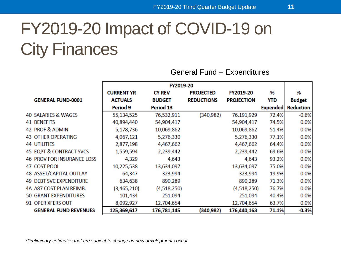|                                   | FY2019-20         |               |                   |                   |                 |                  |
|-----------------------------------|-------------------|---------------|-------------------|-------------------|-----------------|------------------|
|                                   | <b>CURRENT YR</b> | <b>CY REV</b> | <b>PROJECTED</b>  | FY2019-20         | %               | %                |
| <b>GENERAL FUND-0001</b>          | <b>ACTUALS</b>    | <b>BUDGET</b> | <b>REDUCTIONS</b> | <b>PROJECTION</b> | <b>YTD</b>      | <b>Budget</b>    |
|                                   | Period 9          | Period 13     |                   |                   | <b>Expended</b> | <b>Reduction</b> |
| 40 SALARIES & WAGES               | 55,134,525        | 76,532,911    | (340, 982)        | 76,191,929        | 72.4%           | $-0.6%$          |
| <b>41 BENEFITS</b>                | 40,894,440        | 54,904,417    |                   | 54,904,417        | 74.5%           | 0.0%             |
| 42 PROF & ADMIN                   | 5,178,736         | 10,069,862    |                   | 10,069,862        | 51.4%           | 0.0%             |
| <b>43 OTHER OPERATING</b>         | 4,067,121         | 5,276,330     |                   | 5,276,330         | 77.1%           | 0.0%             |
| <b>44 UTILITIES</b>               | 2,877,198         | 4,467,662     |                   | 4,467,662         | 64.4%           | 0.0%             |
| 45 EQPT & CONTRACT SVCS           | 1,559,594         | 2,239,442     |                   | 2,239,442         | 69.6%           | 0.0%             |
| <b>46 PROV FOR INSURANCE LOSS</b> | 4,329             | 4,643         |                   | 4,643             | 93.2%           | 0.0%             |
| 47 COST POOL                      | 10,225,538        | 13,634,097    |                   | 13,634,097        | 75.0%           | 0.0%             |
| 48 ASSET/CAPITAL OUTLAY           | 64,347            | 323,994       |                   | 323,994           | 19.9%           | 0.0%             |
| <b>49 DEBT SVC EXPENDITURE</b>    | 634,638           | 890,289       |                   | 890,289           | 71.3%           | 0.0%             |
| 4A A87 COST PLAN REIMB.           | (3,465,210)       | (4,518,250)   |                   | (4,518,250)       | 76.7%           | 0.0%             |
| 50 GRANT EXPENDITURES             | 101,434           | 251,094       |                   | 251,094           | 40.4%           | 0.0%             |
| 91 OPER XFERS OUT                 | 8,092,927         | 12,704,654    |                   | 12,704,654        | 63.7%           | 0.0%             |
| <b>GENERAL FUND REVENUES</b>      | 125,369,617       | 176,781,145   | (340, 982)        | 176,440,163       | 71.1%           | $-0.3%$          |

#### General Fund – Expenditures

*\*Preliminary estimates that are subject to change as new developments occur*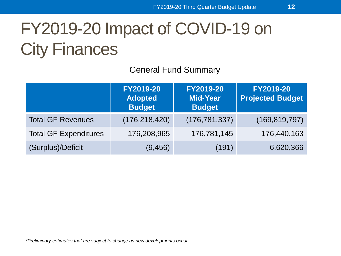General Fund Summary

|                              | FY2019-20<br><b>Adopted</b><br><b>Budget</b> | FY2019-20<br><b>Mid-Year</b><br><b>Budget</b> | FY2019-20<br><b>Projected Budget</b> |
|------------------------------|----------------------------------------------|-----------------------------------------------|--------------------------------------|
| <b>Total GF Revenues</b>     | (176, 218, 420)                              | (176, 781, 337)                               | (169, 819, 797)                      |
| <b>Total GF Expenditures</b> | 176,208,965                                  | 176,781,145                                   | 176,440,163                          |
| (Surplus)/Deficit            | (9, 456)                                     | (191)                                         | 6,620,366                            |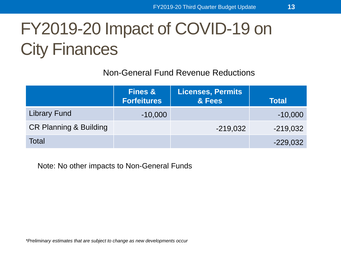Non-General Fund Revenue Reductions

|                                   | <b>Fines &amp;</b><br><b>Forfeitures</b> | <b>Licenses, Permits</b><br>& Fees | <b>Total</b> |
|-----------------------------------|------------------------------------------|------------------------------------|--------------|
| <b>Library Fund</b>               | $-10,000$                                |                                    | $-10,000$    |
| <b>CR Planning &amp; Building</b> |                                          | $-219,032$                         | $-219,032$   |
| Total                             |                                          |                                    | $-229,032$   |

Note: No other impacts to Non-General Funds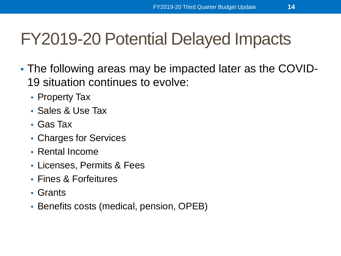#### FY2019-20 Potential Delayed Impacts

- The following areas may be impacted later as the COVID-19 situation continues to evolve:
	- Property Tax
	- Sales & Use Tax
	- Gas Tax
	- Charges for Services
	- Rental Income
	- Licenses, Permits & Fees
	- Fines & Forfeitures
	- Grants
	- Benefits costs (medical, pension, OPEB)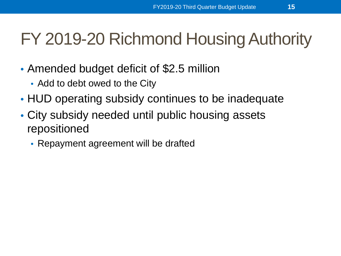#### FY 2019-20 Richmond Housing Authority

- Amended budget deficit of \$2.5 million
	- Add to debt owed to the City
- HUD operating subsidy continues to be inadequate
- City subsidy needed until public housing assets repositioned
	- Repayment agreement will be drafted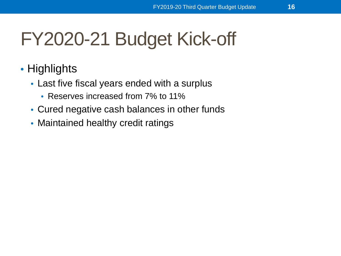# FY2020-21 Budget Kick-off

- Highlights
	- Last five fiscal years ended with a surplus
		- Reserves increased from 7% to 11%
	- Cured negative cash balances in other funds
	- Maintained healthy credit ratings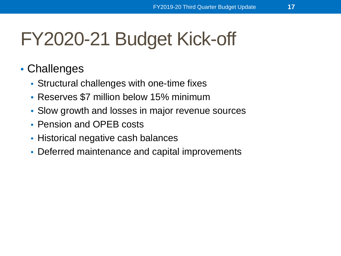# FY2020-21 Budget Kick-off

- Challenges
	- Structural challenges with one-time fixes
	- Reserves \$7 million below 15% minimum
	- Slow growth and losses in major revenue sources
	- Pension and OPEB costs
	- Historical negative cash balances
	- Deferred maintenance and capital improvements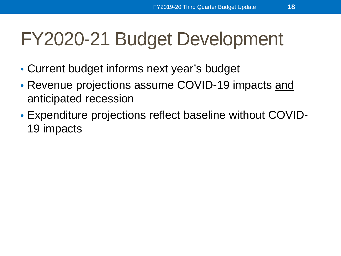# FY2020-21 Budget Development

- Current budget informs next year's budget
- Revenue projections assume COVID-19 impacts and anticipated recession
- Expenditure projections reflect baseline without COVID-19 impacts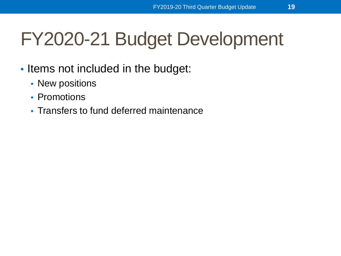# FY2020-21 Budget Development

- Items not included in the budget:
	- New positions
	- Promotions
	- Transfers to fund deferred maintenance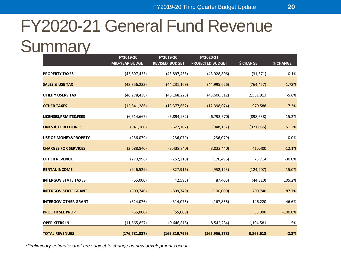#### FY2020-21 General Fund Revenue

#### **Summary**

|                                 | FY2019-20              | FY2019-20             | FY2020-21               |                  |           |
|---------------------------------|------------------------|-----------------------|-------------------------|------------------|-----------|
|                                 | <b>MID-YEAR BUDGET</b> | <b>REVISED BUDGET</b> | <b>PROJECTED BUDGET</b> | <b>\$ CHANGE</b> | % CHANGE  |
| <b>PROPERTY TAXES</b>           | (43,897,435)           | (43,897,435)          | (43,928,806)            | (31, 371)        | 0.1%      |
| <b>SALES &amp; USE TAX</b>      | (48, 356, 233)         | (44, 231, 169)        | (44,995,626)            | (764, 457)       | 1.73%     |
| <b>UTILITY USERS TAX</b>        | (46, 278, 438)         | (46, 168, 225)        | (43,606,312)            | 2,561,913        | $-5.6%$   |
| <b>OTHER TAXES</b>              | (12,841,286)           | (13, 377, 662)        | (12, 398, 074)          | 979,588          | $-7.3%$   |
| LICENSES, PRMITS&FEES           | (6,514,667)            | (5,894,932)           | (6,793,570)             | (898, 638)       | 15.2%     |
| <b>FINES &amp; FORFEITURES</b>  | (941, 160)             | (627, 102)            | (948, 157)              | (321,055)        | 51.2%     |
| <b>USE OF MONEY&amp;PROPRTY</b> | (236,079)              | (236,079)             | (236,079)               |                  | 0.0%      |
| <b>CHARGES FOR SERVICES</b>     | (3,688,840)            | (3,438,840)           | (3,023,440)             | 415,400          | $-12.1%$  |
| <b>OTHER REVENUE</b>            | (270, 996)             | (252, 210)            | (176, 496)              | 75,714           | $-30.0%$  |
| <b>RENTAL INCOME</b>            | (946, 529)             | (827, 916)            | (952, 123)              | (124, 207)       | 15.0%     |
| <b>INTERGOV STATE TAXES</b>     | (65,000)               | (42, 595)             | (87, 405)               | (44, 810)        | 105.2%    |
| <b>INTERGOV STATE GRANT</b>     | (809, 740)             | (809, 740)            | (100,000)               | 709,740          | $-87.7%$  |
| <b>INTERGOV OTHER GRANT</b>     | (314, 076)             | (314,076)             | (167, 856)              | 146,220          | $-46.6%$  |
| <b>PROC FR SLE PROP</b>         | (55,000)               | (55,000)              |                         | 55,000           | $-100.0%$ |
| <b>OPER XFERS IN</b>            | (11, 565, 857)         | (9,646,815)           | (8, 542, 234)           | 1,104,581        | $-11.5%$  |
| <b>TOTAL REVENUES</b>           | (176, 781, 337)        | (169, 819, 796)       | (165, 956, 178)         | 3,863,618        | $-2.3%$   |

*\*Preliminary estimates that are subject to change as new developments occur*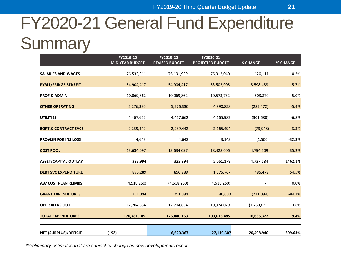#### FY2020-21 General Fund Expenditure **Summary**

|                                 | FY2019-20              | FY2019-20             | FY2020-21               |                  |                 |
|---------------------------------|------------------------|-----------------------|-------------------------|------------------|-----------------|
|                                 | <b>MID-YEAR BUDGET</b> | <b>REVISED BUDGET</b> | <b>PROJECTED BUDGET</b> | <b>\$ CHANGE</b> | <b>% CHANGE</b> |
| <b>SALARIES AND WAGES</b>       | 76,532,911             | 76,191,929            | 76,312,040              | 120,111          | 0.2%            |
| <b>PYRLL/FRINGE BENEFIT</b>     | 54,904,417             | 54,904,417            | 63,502,905              | 8,598,488        | 15.7%           |
| <b>PROF &amp; ADMIN</b>         | 10,069,862             | 10,069,862            | 10,573,732              | 503,870          | 5.0%            |
| <b>OTHER OPERATING</b>          | 5,276,330              | 5,276,330             | 4,990,858               | (285, 472)       | $-5.4%$         |
| <b>UTILITIES</b>                | 4,467,662              | 4,467,662             | 4,165,982               | (301, 680)       | $-6.8%$         |
| <b>EQPT &amp; CONTRACT SVCS</b> | 2,239,442              | 2,239,442             | 2,165,494               | (73, 948)        | $-3.3%$         |
| <b>PROVISN FOR INS LOSS</b>     | 4,643                  | 4,643                 | 3,143                   | (1,500)          | $-32.3%$        |
| <b>COST POOL</b>                | 13,634,097             | 13,634,097            | 18,428,606              | 4,794,509        | 35.2%           |
| <b>ASSET/CAPITAL OUTLAY</b>     | 323,994                | 323,994               | 5,061,178               | 4,737,184        | 1462.1%         |
| <b>DEBT SVC EXPENDITURE</b>     | 890,289                | 890,289               | 1,375,767               | 485,479          | 54.5%           |
| <b>A87 COST PLAN REIMBS</b>     | (4,518,250)            | (4,518,250)           | (4,518,250)             |                  | 0.0%            |
| <b>GRANT EXPENDITURES</b>       | 251,094                | 251,094               | 40,000                  | (211,094)        | $-84.1%$        |
| <b>OPER XFERS OUT</b>           | 12,704,654             | 12,704,654            | 10,974,029              | (1,730,625)      | $-13.6%$        |
| <b>TOTAL EXPENDITURES</b>       | 176,781,145            | 176,440,163           | 193,075,485             | 16,635,322       | 9.4%            |
|                                 |                        |                       |                         |                  |                 |
| <b>NET (SURPLUS)/DEFICIT</b>    | (192)                  | 6,620,367             | 27,119,307              | 20,498,940       | 309.63%         |

*\*Preliminary estimates that are subject to change as new developments occur*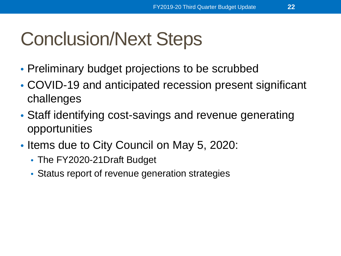# Conclusion/Next Steps

- Preliminary budget projections to be scrubbed
- COVID-19 and anticipated recession present significant challenges
- Staff identifying cost-savings and revenue generating opportunities
- Items due to City Council on May 5, 2020:
	- The FY2020-21Draft Budget
	- Status report of revenue generation strategies